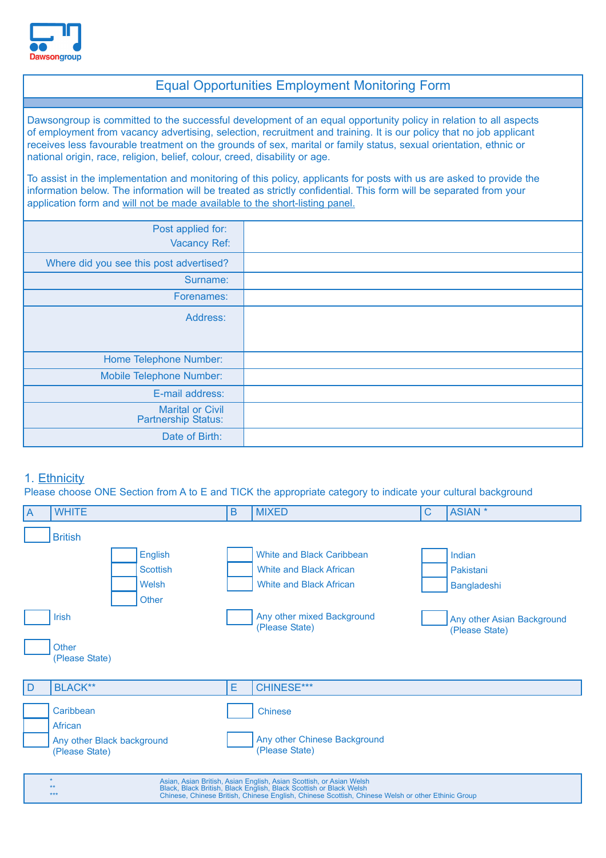

## Equal Opportunities Employment Monitoring Form

Dawsongroup is committed to the successful development of an equal opportunity policy in relation to all aspects of employment from vacancy advertising, selection, recruitment and training. It is our policy that no job applicant receives less favourable treatment on the grounds of sex, marital or family status, sexual orientation, ethnic or national origin, race, religion, belief, colour, creed, disability or age.

To assist in the implementation and monitoring of this policy, applicants for posts with us are asked to provide the information below. The information will be treated as strictly confidential. This form will be separated from your application form and will not be made available to the short-listing panel.

| Post applied for:<br>Vacancy Ref:                     |  |
|-------------------------------------------------------|--|
| Where did you see this post advertised?               |  |
| Surname:                                              |  |
| Forenames:                                            |  |
| Address:                                              |  |
| Home Telephone Number:                                |  |
| Mobile Telephone Number:                              |  |
| E-mail address:                                       |  |
| <b>Marital or Civil</b><br><b>Partnership Status:</b> |  |
| Date of Birth:                                        |  |

## 1. Ethnicity

Please choose ONE Section from A to E and TICK the appropriate category to indicate your cultural background

| $\overline{A}$ | <b>WHITE</b>                                                                                                                                                                                                                                                |                 |   | <b>MIXED</b>                                   | $\mathsf{C}$ | <b>ASIAN</b> *                               |  |  |  |
|----------------|-------------------------------------------------------------------------------------------------------------------------------------------------------------------------------------------------------------------------------------------------------------|-----------------|---|------------------------------------------------|--------------|----------------------------------------------|--|--|--|
|                | <b>British</b>                                                                                                                                                                                                                                              |                 |   |                                                |              |                                              |  |  |  |
|                | English                                                                                                                                                                                                                                                     |                 |   | <b>White and Black Caribbean</b>               |              | Indian                                       |  |  |  |
|                |                                                                                                                                                                                                                                                             | <b>Scottish</b> |   | White and Black African                        |              | Pakistani                                    |  |  |  |
|                |                                                                                                                                                                                                                                                             | Welsh           |   | <b>White and Black African</b>                 |              | Bangladeshi                                  |  |  |  |
|                |                                                                                                                                                                                                                                                             | Other           |   |                                                |              |                                              |  |  |  |
|                | <b>Irish</b>                                                                                                                                                                                                                                                |                 |   | Any other mixed Background<br>(Please State)   |              | Any other Asian Background<br>(Please State) |  |  |  |
|                | Other<br>(Please State)                                                                                                                                                                                                                                     |                 |   |                                                |              |                                              |  |  |  |
| D              | <b>BLACK**</b>                                                                                                                                                                                                                                              |                 | E | CHINESE***                                     |              |                                              |  |  |  |
|                | Caribbean<br>African                                                                                                                                                                                                                                        |                 |   | <b>Chinese</b>                                 |              |                                              |  |  |  |
|                | Any other Black background<br>(Please State)                                                                                                                                                                                                                |                 |   | Any other Chinese Background<br>(Please State) |              |                                              |  |  |  |
|                | Asian, Asian British, Asian English, Asian Scottish, or Asian Welsh<br>Black, Black British, Black English, Black Scottish or Black Welsh<br>Chinese, Chinese British, Chinese English, Chinese Scottish, Chinese Welsh or other Ethinic Group<br>**<br>*** |                 |   |                                                |              |                                              |  |  |  |